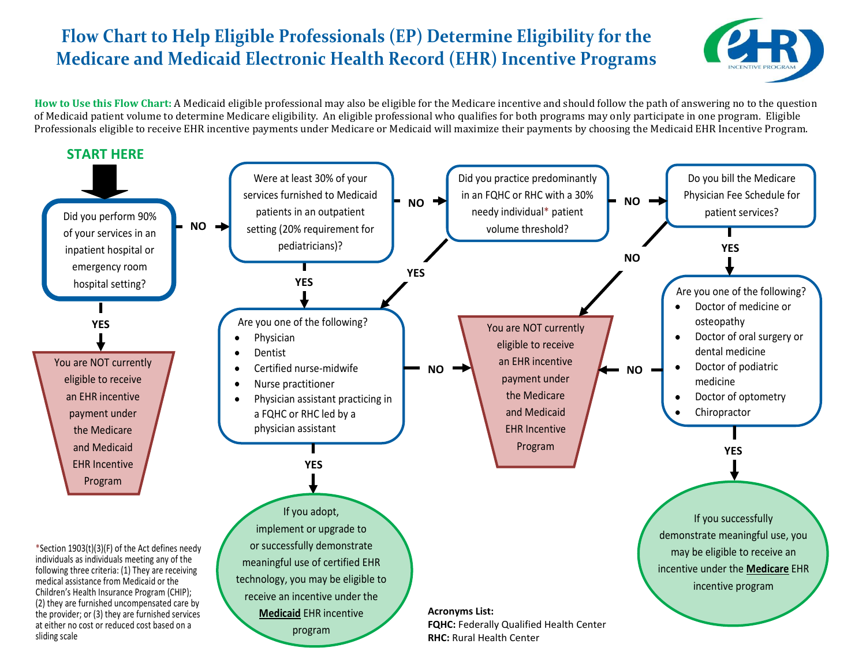## **Flow Chart to Help Eligible Professionals (EP) Determine Eligibility for the Medicare and Medicaid Electronic Health Record (EHR) Incentive Programs**



**How to Use this Flow Chart:** A Medicaid eligible professional may also be eligible for the Medicare incentive and should follow the path of answering no to the question of Medicaid patient volume to determine Medicare eligibility. An eligible professional who qualifies for both programs may only participate in one program. Eligible Professionals eligible to receive EHR incentive payments under Medicare or Medicaid will maximize their payments by choosing the Medicaid EHR Incentive Program.